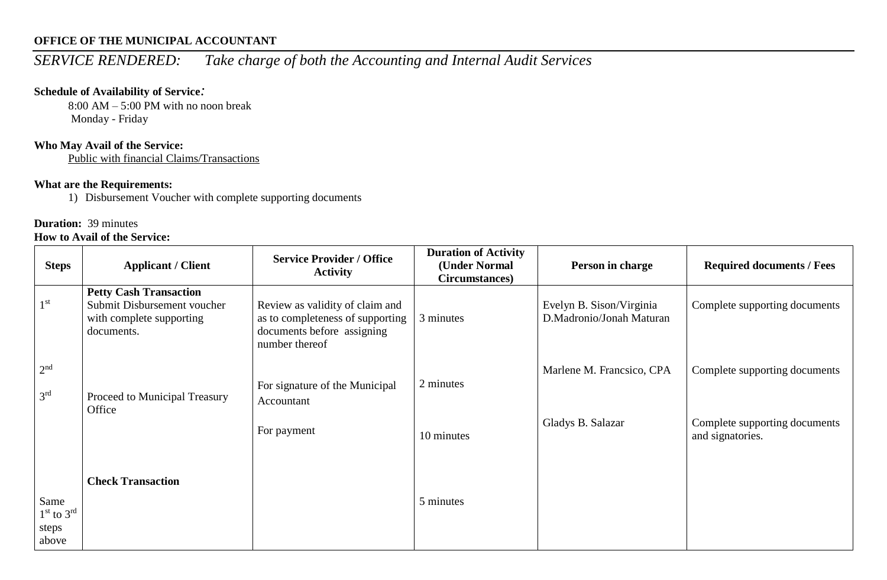## **OFFICE OF THE MUNICIPAL ACCOUNTANT**

# *SERVICE RENDERED: Take charge of both the Accounting and Internal Audit Services*

#### **Schedule of Availability of Service***:*

8:00 AM – 5:00 PM with no noon break Monday - Friday

#### **Who May Avail of the Service:**

Public with financial Claims/Transactions

## **What are the Requirements:**

1) Disbursement Voucher with complete supporting documents

# **Duration:** 39 minutes

#### **How to Avail of the Service:**

| <b>Steps</b>                             | <b>Applicant / Client</b>                                                                              | <b>Service Provider / Office</b><br><b>Activity</b>                                                                 | <b>Duration of Activity</b><br>(Under Normal<br>Circumstances) | Person in charge                                     | <b>Required documents / Fees</b>                  |
|------------------------------------------|--------------------------------------------------------------------------------------------------------|---------------------------------------------------------------------------------------------------------------------|----------------------------------------------------------------|------------------------------------------------------|---------------------------------------------------|
| 1 <sup>st</sup>                          | <b>Petty Cash Transaction</b><br>Submit Disbursement voucher<br>with complete supporting<br>documents. | Review as validity of claim and<br>as to completeness of supporting<br>documents before assigning<br>number thereof | 3 minutes                                                      | Evelyn B. Sison/Virginia<br>D.Madronio/Jonah Maturan | Complete supporting documents                     |
| 2 <sup>nd</sup><br>3 <sup>rd</sup>       | Proceed to Municipal Treasury<br>Office                                                                | For signature of the Municipal<br>Accountant                                                                        | 2 minutes                                                      | Marlene M. Francsico, CPA                            | Complete supporting documents                     |
|                                          |                                                                                                        | For payment                                                                                                         | 10 minutes                                                     | Gladys B. Salazar                                    | Complete supporting documents<br>and signatories. |
| Same<br>$1st$ to $3rd$<br>steps<br>above | <b>Check Transaction</b>                                                                               |                                                                                                                     | 5 minutes                                                      |                                                      |                                                   |